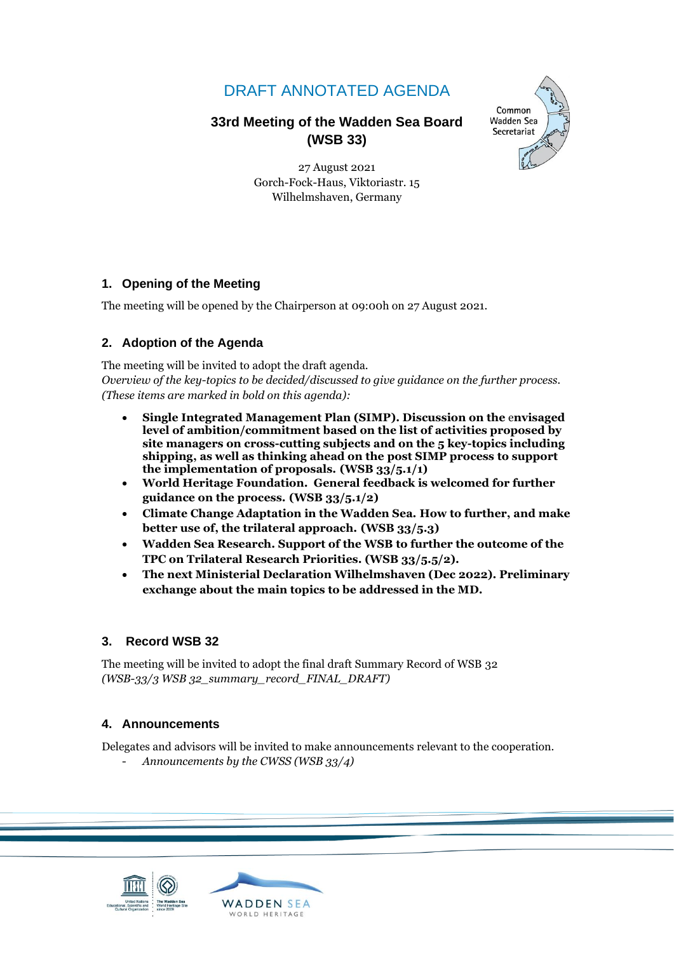# DRAFT ANNOTATED AGENDA

# **33rd Meeting of the Wadden Sea Board (WSB 33)**



27 August 2021 Gorch-Fock-Haus, Viktoriastr. 15 Wilhelmshaven, Germany

# **1. Opening of the Meeting**

The meeting will be opened by the Chairperson at 09:00h on 27 August 2021.

# **2. Adoption of the Agenda**

The meeting will be invited to adopt the draft agenda. *Overview of the key-topics to be decided/discussed to give guidance on the further process. (These items are marked in bold on this agenda):*

- **Single Integrated Management Plan (SIMP). Discussion on the** e**nvisaged level of ambition/commitment based on the list of activities proposed by site managers on cross-cutting subjects and on the 5 key-topics including shipping, as well as thinking ahead on the post SIMP process to support the implementation of proposals. (WSB 33/5.1/1)**
- **World Heritage Foundation. General feedback is welcomed for further guidance on the process. (WSB 33/5.1/2)**
- **Climate Change Adaptation in the Wadden Sea. How to further, and make better use of, the trilateral approach. (WSB 33/5.3)**
- **Wadden Sea Research. Support of the WSB to further the outcome of the TPC on Trilateral Research Priorities. (WSB 33/5.5/2).**
- **The next Ministerial Declaration Wilhelmshaven (Dec 2022). Preliminary exchange about the main topics to be addressed in the MD.**

# **3. Record WSB 32**

The meeting will be invited to adopt the final draft Summary Record of WSB 32 *(WSB-33/3 WSB 32\_summary\_record\_FINAL\_DRAFT)*

# **4. Announcements**

Delegates and advisors will be invited to make announcements relevant to the cooperation.

- *Announcements by the CWSS (WSB 33/4)*

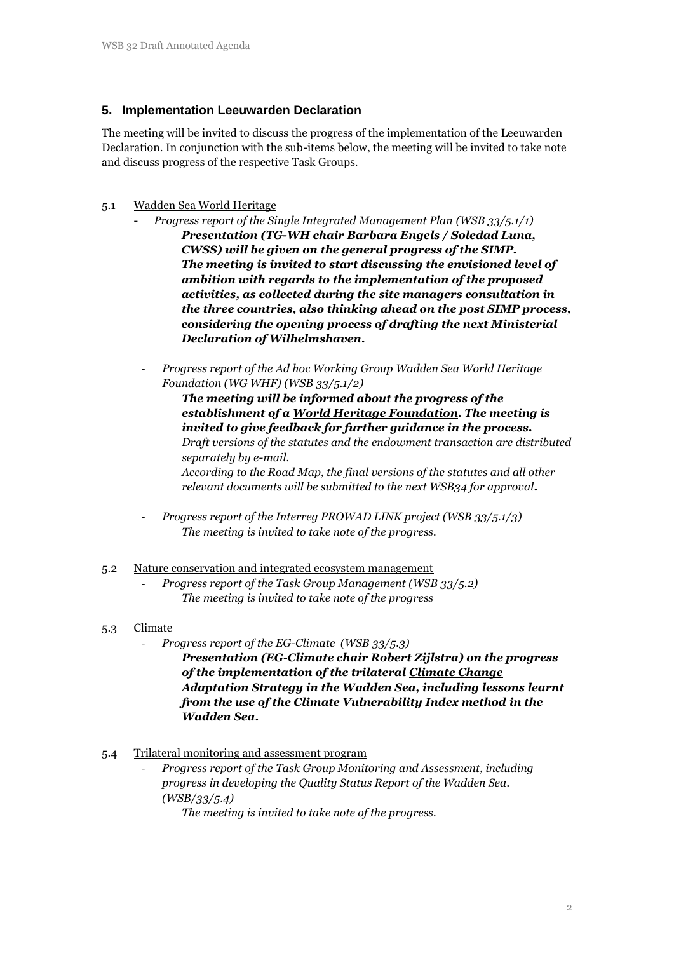## **5. Implementation Leeuwarden Declaration**

The meeting will be invited to discuss the progress of the implementation of the Leeuwarden Declaration. In conjunction with the sub-items below, the meeting will be invited to take note and discuss progress of the respective Task Groups.

#### 5.1 Wadden Sea World Heritage

- *Progress report of the Single Integrated Management Plan (WSB 33/5.1/1) Presentation (TG-WH chair Barbara Engels / Soledad Luna, CWSS) will be given on the general progress of the SIMP. The meeting is invited to start discussing the envisioned level of ambition with regards to the implementation of the proposed activities, as collected during the site managers consultation in the three countries, also thinking ahead on the post SIMP process, considering the opening process of drafting the next Ministerial Declaration of Wilhelmshaven.*
- *Progress report of the Ad hoc Working Group Wadden Sea World Heritage Foundation (WG WHF) (WSB 33/5.1/2)*

*The meeting will be informed about the progress of the establishment of a World Heritage Foundation. The meeting is invited to give feedback for further guidance in the process. Draft versions of the statutes and the endowment transaction are distributed separately by e-mail. According to the Road Map, the final versions of the statutes and all other relevant documents will be submitted to the next WSB34 for approval.*

- *Progress report of the Interreg PROWAD LINK project (WSB 33/5.1/3) The meeting is invited to take note of the progress.*
- 5.2 Nature conservation and integrated ecosystem management
	- *Progress report of the Task Group Management (WSB 33/5.2) The meeting is invited to take note of the progress*

## 5.3 Climate

- *Progress report of the EG-Climate (WSB 33/5.3)*

*Presentation (EG-Climate chair Robert Zijlstra) on the progress of the implementation of the trilateral Climate Change Adaptation Strategy in the Wadden Sea, including lessons learnt from the use of the Climate Vulnerability Index method in the Wadden Sea.* 

## 5.4 Trilateral monitoring and assessment program

- *Progress report of the Task Group Monitoring and Assessment, including progress in developing the Quality Status Report of the Wadden Sea. (WSB/33/5.4)*

*The meeting is invited to take note of the progress.*